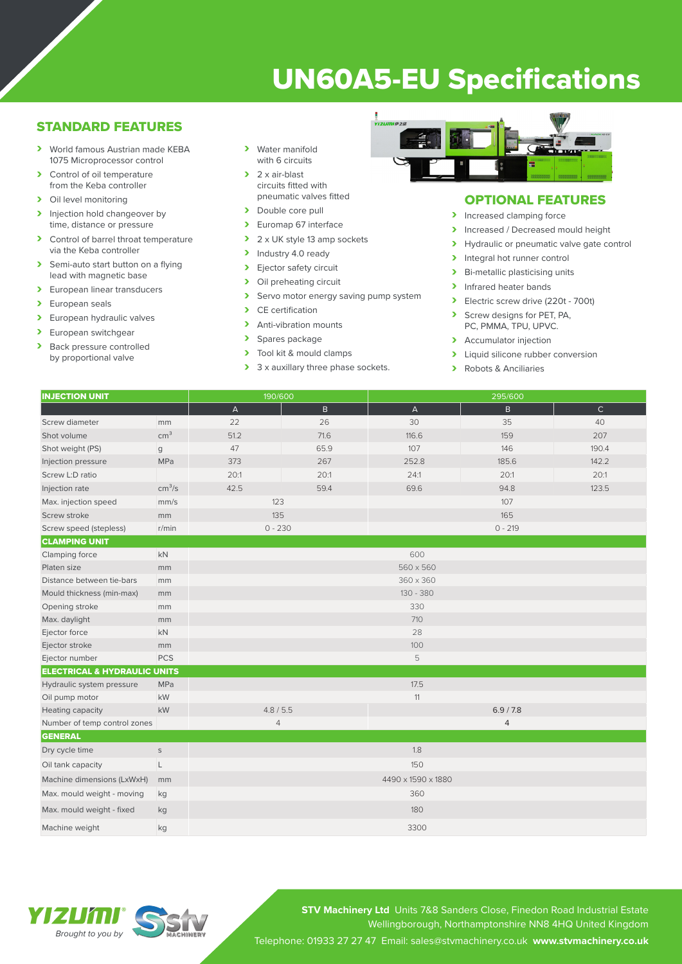# UN60A5-EU Specifications

## STANDARD FEATURES

- › World famous Austrian made KEBA 1075 Microprocessor control
- > Control of oil temperature from the Keba controller
- > Oil level monitoring
- Injection hold changeover by time, distance or pressure
- › Control of barrel throat temperature via the Keba controller
- > Semi-auto start button on a flying lead with magnetic base
- > European linear transducers
- > European seals<br>> European hydra
- European hydraulic valves
- > European switchgear<br>
> Back pressure control
- Back pressure controlled by proportional valve
- > Water manifold with 6 circuits
- $\blacktriangleright$  2 x air-blast circuits fitted with pneumatic valves fitted
- > Double core pull
- > Euromap 67 interface
- 2 x UK style 13 amp sockets
- > Industry 4.0 ready
- > Ejector safety circuit<br>> Oil preheating circuit
- Oil preheating circuit<br>• Servo motor energy
- > Servo motor energy saving pump system<br>
> CE certification
- CE certification
- > Anti-vibration mounts
- > Spares package<br>> Tool kit & mould
- Tool kit & mould clamps
- > 3 x auxillary three phase sockets.



## OPTIONAL FEATURES

- > Increased clamping force
- Increased / Decreased mould height
- > Hydraulic or pneumatic valve gate control
- Integral hot runner control<br>
Integral intervalsed the Ri-metallic plasticising unit
- Bi-metallic plasticising units
- > Infrared heater bands
- **>** Electric screw drive (220t 700t)
- › Screw designs for PET, PA, PC, PMMA, TPU, UPVC.
- > Accumulator injection
- I Liquid silicone rubber conversion<br>
I Pobots & Anciliarios
- Robots & Anciliaries

| <b>INJECTION UNIT</b>  |                    | 190/600      |      | 295/600      |       |       |  |
|------------------------|--------------------|--------------|------|--------------|-------|-------|--|
|                        |                    | $\mathsf{A}$ | B    | $\mathsf{A}$ | B.    | C     |  |
| Screw diameter         | mm                 | 22           | 26   | 30           | 35    | 40    |  |
| Shot volume            | cm <sup>3</sup>    | 51.2         | 71.6 | 116.6        | 159   | 207   |  |
| Shot weight (PS)       | $\mathbf{g}$       | 47           | 65.9 | 107          | 146   | 190.4 |  |
| Injection pressure     | <b>MPa</b>         | 373          | 267  | 252.8        | 185.6 | 142.2 |  |
| Screw L:D ratio        |                    | 20:1         | 20:1 | 24:1         | 20:1  | 20:1  |  |
| Injection rate         | cm <sup>3</sup> /s | 42.5         | 59.4 | 69.6         | 94.8  | 123.5 |  |
| Max. injection speed   | mm/s               | 123          |      | 107          |       |       |  |
| Screw stroke           | mm                 | 135          |      | 165          |       |       |  |
| Screw speed (stepless) | r/min              | $0 - 230$    |      | $0 - 219$    |       |       |  |
| <b>CLAMPING UNIT</b>   |                    |              |      |              |       |       |  |

| Clamping force                          | <b>kN</b>   |                    | 600         |           |  |  |
|-----------------------------------------|-------------|--------------------|-------------|-----------|--|--|
| Platen size                             | mm          |                    | 560 x 560   |           |  |  |
| Distance between tie-bars               | mm          |                    | 360 x 360   |           |  |  |
| Mould thickness (min-max)               | mm          |                    | $130 - 380$ |           |  |  |
| Opening stroke                          | mm          |                    | 330         |           |  |  |
| Max. daylight                           | mm          |                    | 710         |           |  |  |
| Ejector force                           | kN          |                    | 28          |           |  |  |
| Ejector stroke                          | mm          |                    | 100         |           |  |  |
| Ejector number                          | <b>PCS</b>  |                    | 5           |           |  |  |
| <b>ELECTRICAL &amp; HYDRAULIC UNITS</b> |             |                    |             |           |  |  |
| Hydraulic system pressure               | <b>MPa</b>  |                    | 17.5        |           |  |  |
| Oil pump motor                          | kW          |                    | 11          |           |  |  |
| Heating capacity                        | kW          | 4.8 / 5.5          |             | 6.9 / 7.8 |  |  |
| Number of temp control zones            |             | $\overline{4}$     |             | 4         |  |  |
| <b>GENERAL</b>                          |             |                    |             |           |  |  |
| Dry cycle time                          | $\mathsf S$ |                    | 1.8         |           |  |  |
| Oil tank capacity                       | L           |                    | 150         |           |  |  |
| Machine dimensions (LxWxH)              | mm          | 4490 x 1590 x 1880 |             |           |  |  |
| Max. mould weight - moving              | kg          |                    | 360         |           |  |  |
| Max. mould weight - fixed               | kg          | 180                |             |           |  |  |
| Machine weight                          | kg          | 3300               |             |           |  |  |



**STV Machinery Ltd** Units 7&8 Sanders Close, Finedon Road Industrial Estate Wellingborough, Northamptonshire NN8 4HQ United Kingdom Telephone: 01933 27 27 47 Email: sales@stvmachinery.co.uk **www.stvmachinery.co.uk**